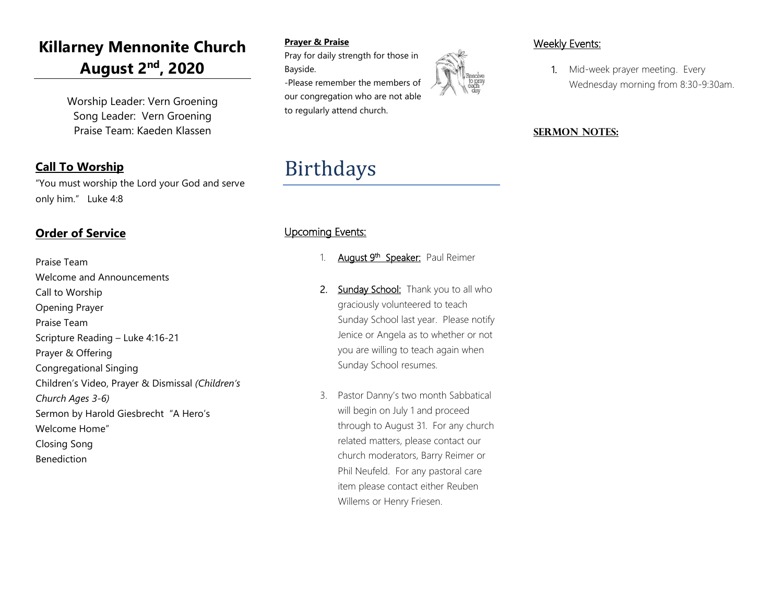## **Killarney Mennonite Church August 2nd , 2020**

Worship Leader: Vern Groening Song Leader: Vern Groening Praise Team: Kaeden Klassen

### **Call To Worship**

"You must worship the Lord your God and serve only him." Luke 4:8

### **Order of Service**

Praise Team Welcome and Announcements Call to Worship Opening Prayer Praise Team Scripture Reading – Luke 4:16-21 Prayer & Offering Congregational Singing Children's Video, Prayer & Dismissal *(Children's Church Ages 3-6)* Sermon by Harold Giesbrecht "A Hero's Welcome Home" Closing Song Benediction

### **Prayer & Praise**

Pray for daily strength for those in Bayside.

-Please remember the members of our congregation who are not able to regularly attend church.

# Birthdays

### Upcoming Events:

- 1. August 9<sup>th</sup> Speaker: Paul Reimer
- 2. Sunday School: Thank you to all who graciously volunteered to teach Sunday School last year. Please notify Jenice or Angela as to whether or not you are willing to teach again when Sunday School resumes.
- 3. Pastor Danny's two month Sabbatical will begin on July 1 and proceed through to August 31. For any church related matters, please contact our church moderators, Barry Reimer or Phil Neufeld. For any pastoral care item please contact either Reuben Willems or Henry Friesen.

### Weekly Events:

1. Mid-week prayer meeting. Every Wednesday morning from 8:30-9:30am.

### **SERMON NOTES:**